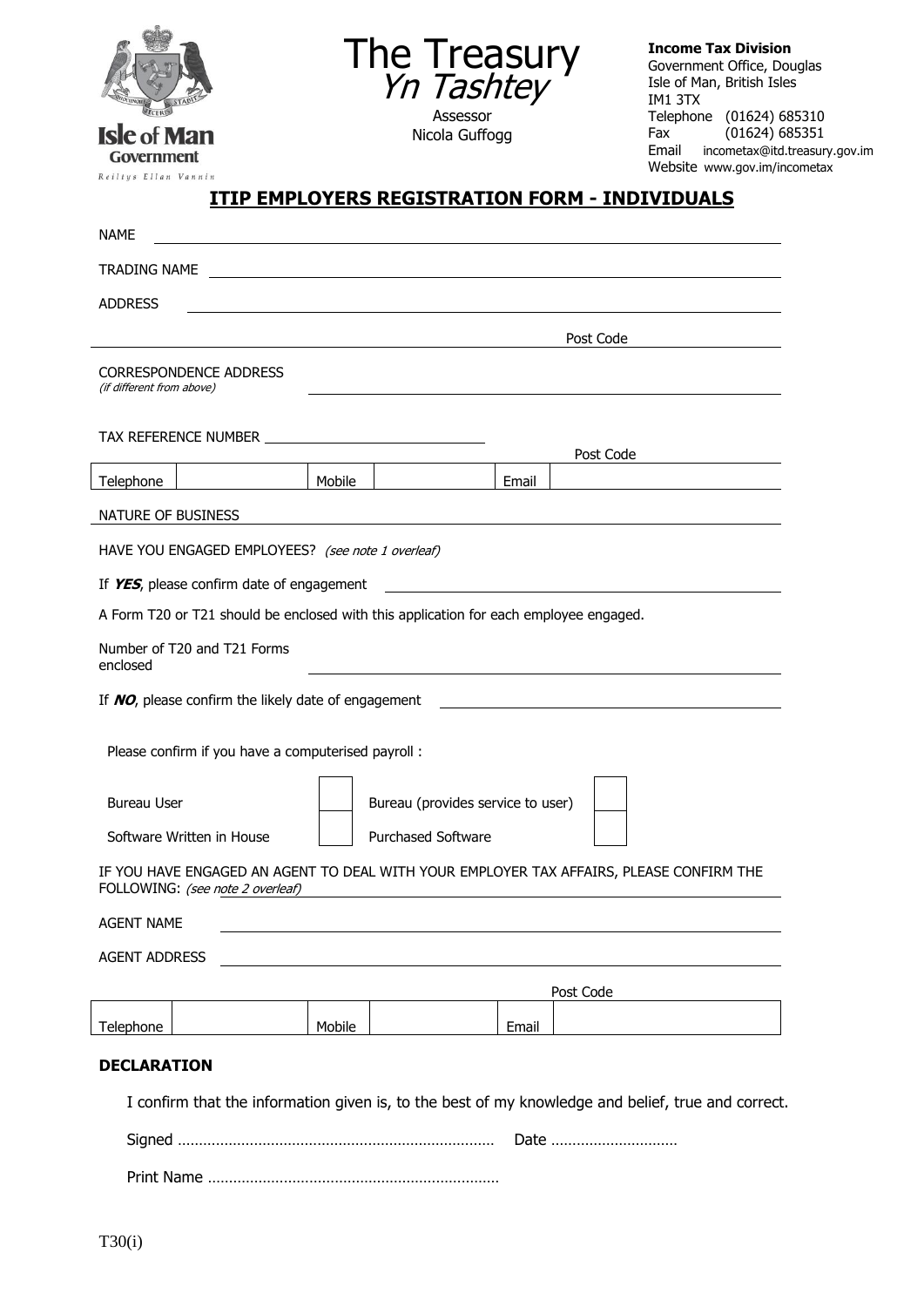

The Treasury Yn Tashtey Assessor

Nicola Guffogg

**Income Tax Division** Government Office, Douglas Isle of Man, British Isles IM1 3TX Telephone (01624) 685310<br>Fax (01624) 685351  $(01624)$  685351 Email incometax@itd.treasury.gov.im Website www.gov.im/incometax

Government Reiltys Ellan Vannin

## **ITIP EMPLOYERS REGISTRATION FORM - INDIVIDUALS**

| <b>NAME</b>                                                                                                                 |                                 |                                   |                                                                                                                       |       |           |  |
|-----------------------------------------------------------------------------------------------------------------------------|---------------------------------|-----------------------------------|-----------------------------------------------------------------------------------------------------------------------|-------|-----------|--|
| TRADING NAME                                                                                                                |                                 |                                   | <u> 1989 - Johann Barbara, martin amerikan basal dan berasal dan berasal dalam basal dalam basal dalam basal dala</u> |       |           |  |
| <b>ADDRESS</b>                                                                                                              |                                 |                                   |                                                                                                                       |       |           |  |
|                                                                                                                             |                                 |                                   |                                                                                                                       |       | Post Code |  |
| (if different from above)                                                                                                   | <b>CORRESPONDENCE ADDRESS</b>   |                                   |                                                                                                                       |       |           |  |
|                                                                                                                             | TAX REFERENCE NUMBER TAX NUMBER |                                   |                                                                                                                       |       | Post Code |  |
| Telephone                                                                                                                   |                                 | Mobile                            |                                                                                                                       | Email |           |  |
| NATURE OF BUSINESS                                                                                                          |                                 |                                   |                                                                                                                       |       |           |  |
| HAVE YOU ENGAGED EMPLOYEES? (see note 1 overleaf)                                                                           |                                 |                                   |                                                                                                                       |       |           |  |
| If YES, please confirm date of engagement                                                                                   |                                 |                                   |                                                                                                                       |       |           |  |
| A Form T20 or T21 should be enclosed with this application for each employee engaged.                                       |                                 |                                   |                                                                                                                       |       |           |  |
| Number of T20 and T21 Forms<br>enclosed                                                                                     |                                 |                                   |                                                                                                                       |       |           |  |
| If NO, please confirm the likely date of engagement                                                                         |                                 |                                   |                                                                                                                       |       |           |  |
| Please confirm if you have a computerised payroll :                                                                         |                                 |                                   |                                                                                                                       |       |           |  |
| <b>Bureau User</b>                                                                                                          |                                 | Bureau (provides service to user) |                                                                                                                       |       |           |  |
| Software Written in House                                                                                                   |                                 | <b>Purchased Software</b>         |                                                                                                                       |       |           |  |
| IF YOU HAVE ENGAGED AN AGENT TO DEAL WITH YOUR EMPLOYER TAX AFFAIRS, PLEASE CONFIRM THE<br>FOLLOWING: (see note 2 overleaf) |                                 |                                   |                                                                                                                       |       |           |  |
| <b>AGENT NAME</b>                                                                                                           |                                 |                                   |                                                                                                                       |       |           |  |
| <b>AGENT ADDRESS</b>                                                                                                        |                                 |                                   |                                                                                                                       |       |           |  |
| Post Code                                                                                                                   |                                 |                                   |                                                                                                                       |       |           |  |
| Telephone                                                                                                                   |                                 | Mobile                            |                                                                                                                       | Email |           |  |
| <b>DECLARATION</b><br>I confirm that the information given is, to the best of my knowledge and belief, true and correct.    |                                 |                                   |                                                                                                                       |       |           |  |
| Date                                                                                                                        |                                 |                                   |                                                                                                                       |       |           |  |

Print Name ……………………………………………………………